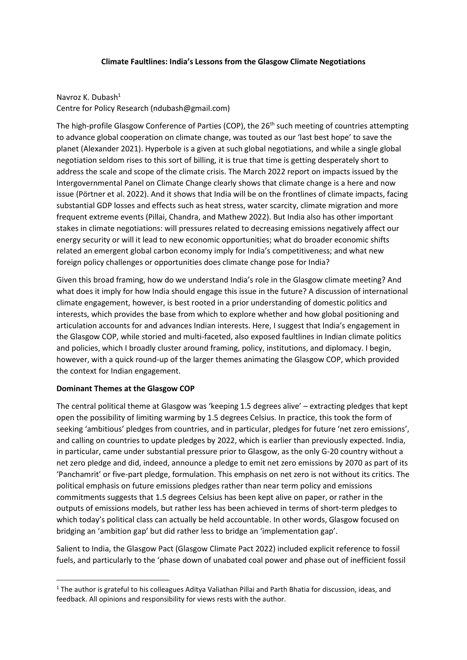## **Climate Faultlines: India's Lessons from the Glasgow Climate Negotiations**

Navroz K. Dubash $1$ Centre for Policy Research (ndubash@gmail.com)

The high-profile Glasgow Conference of Parties (COP), the 26<sup>th</sup> such meeting of countries attempting to advance global cooperation on climate change, was touted as our 'last best hope' to save the planet (Alexander 2021). Hyperbole is a given at such global negotiations, and while a single global negotiation seldom rises to this sort of billing, it is true that time is getting desperately short to address the scale and scope of the climate crisis. The March 2022 report on impacts issued by the Intergovernmental Panel on Climate Change clearly shows that climate change is a here and now issue (Pörtner et al. 2022). And it shows that India will be on the frontlines of climate impacts, facing substantial GDP losses and effects such as heat stress, water scarcity, climate migration and more frequent extreme events (Pillai, Chandra, and Mathew 2022). But India also has other important stakes in climate negotiations: will pressures related to decreasing emissions negatively affect our energy security or will it lead to new economic opportunities; what do broader economic shifts related an emergent global carbon economy imply for India's competitiveness; and what new foreign policy challenges or opportunities does climate change pose for India?

Given this broad framing, how do we understand India's role in the Glasgow climate meeting? And what does it imply for how India should engage this issue in the future? A discussion of international climate engagement, however, is best rooted in a prior understanding of domestic politics and interests, which provides the base from which to explore whether and how global positioning and articulation accounts for and advances Indian interests. Here, I suggest that India's engagement in the Glasgow COP, while storied and multi-faceted, also exposed faultlines in Indian climate politics and policies, which I broadly cluster around framing, policy, institutions, and diplomacy. I begin, however, with a quick round-up of the larger themes animating the Glasgow COP, which provided the context for Indian engagement.

## **Dominant Themes at the Glasgow COP**

 $\overline{a}$ 

The central political theme at Glasgow was 'keeping 1.5 degrees alive' – extracting pledges that kept open the possibility of limiting warming by 1.5 degrees Celsius. In practice, this took the form of seeking 'ambitious' pledges from countries, and in particular, pledges for future 'net zero emissions', and calling on countries to update pledges by 2022, which is earlier than previously expected. India, in particular, came under substantial pressure prior to Glasgow, as the only G-20 country without a net zero pledge and did, indeed, announce a pledge to emit net zero emissions by 2070 as part of its 'Panchamrit' or five-part pledge, formulation. This emphasis on net zero is not without its critics. The political emphasis on future emissions pledges rather than near term policy and emissions commitments suggests that 1.5 degrees Celsius has been kept alive on paper, or rather in the outputs of emissions models, but rather less has been achieved in terms of short-term pledges to which today's political class can actually be held accountable. In other words, Glasgow focused on bridging an 'ambition gap' but did rather less to bridge an 'implementation gap'.

Salient to India, the Glasgow Pact (Glasgow Climate Pact 2022) included explicit reference to fossil fuels, and particularly to the 'phase down of unabated coal power and phase out of inefficient fossil

<sup>1</sup> The author is grateful to his colleagues Aditya Valiathan Pillai and Parth Bhatia for discussion, ideas, and feedback. All opinions and responsibility for views rests with the author.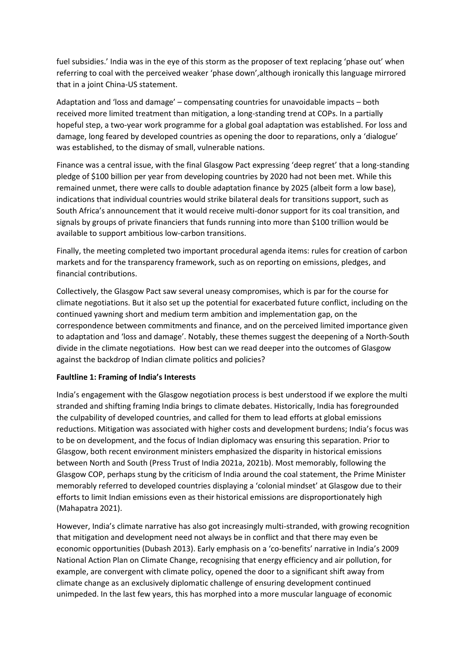fuel subsidies.' India was in the eye of this storm as the proposer of text replacing 'phase out' when referring to coal with the perceived weaker 'phase down',although ironically this language mirrored that in a joint China-US statement.

Adaptation and 'loss and damage' – compensating countries for unavoidable impacts – both received more limited treatment than mitigation, a long-standing trend at COPs. In a partially hopeful step, a two-year work programme for a global goal adaptation was established. For loss and damage, long feared by developed countries as opening the door to reparations, only a 'dialogue' was established, to the dismay of small, vulnerable nations.

Finance was a central issue, with the final Glasgow Pact expressing 'deep regret' that a long-standing pledge of \$100 billion per year from developing countries by 2020 had not been met. While this remained unmet, there were calls to double adaptation finance by 2025 (albeit form a low base), indications that individual countries would strike bilateral deals for transitions support, such as South Africa's announcement that it would receive multi-donor support for its coal transition, and signals by groups of private financiers that funds running into more than \$100 trillion would be available to support ambitious low-carbon transitions.

Finally, the meeting completed two important procedural agenda items: rules for creation of carbon markets and for the transparency framework, such as on reporting on emissions, pledges, and financial contributions.

Collectively, the Glasgow Pact saw several uneasy compromises, which is par for the course for climate negotiations. But it also set up the potential for exacerbated future conflict, including on the continued yawning short and medium term ambition and implementation gap, on the correspondence between commitments and finance, and on the perceived limited importance given to adaptation and 'loss and damage'. Notably, these themes suggest the deepening of a North-South divide in the climate negotiations. How best can we read deeper into the outcomes of Glasgow against the backdrop of Indian climate politics and policies?

## **Faultline 1: Framing of India's Interests**

India's engagement with the Glasgow negotiation process is best understood if we explore the multi stranded and shifting framing India brings to climate debates. Historically, India has foregrounded the culpability of developed countries, and called for them to lead efforts at global emissions reductions. Mitigation was associated with higher costs and development burdens; India's focus was to be on development, and the focus of Indian diplomacy was ensuring this separation. Prior to Glasgow, both recent environment ministers emphasized the disparity in historical emissions between North and South (Press Trust of India 2021a, 2021b). Most memorably, following the Glasgow COP, perhaps stung by the criticism of India around the coal statement, the Prime Minister memorably referred to developed countries displaying a 'colonial mindset' at Glasgow due to their efforts to limit Indian emissions even as their historical emissions are disproportionately high (Mahapatra 2021).

However, India's climate narrative has also got increasingly multi-stranded, with growing recognition that mitigation and development need not always be in conflict and that there may even be economic opportunities (Dubash 2013). Early emphasis on a 'co-benefits' narrative in India's 2009 National Action Plan on Climate Change, recognising that energy efficiency and air pollution, for example, are convergent with climate policy, opened the door to a significant shift away from climate change as an exclusively diplomatic challenge of ensuring development continued unimpeded. In the last few years, this has morphed into a more muscular language of economic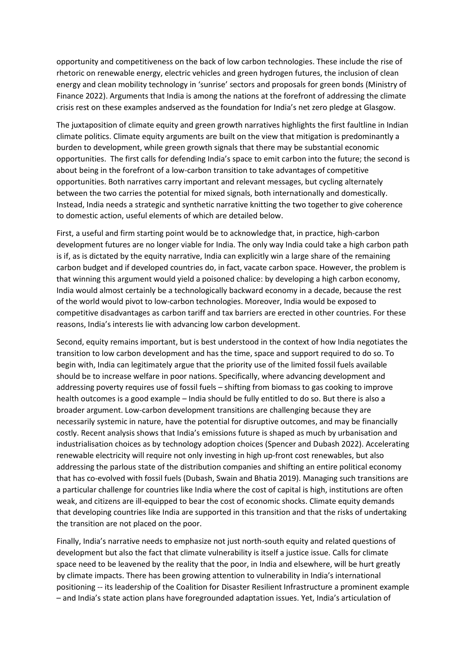opportunity and competitiveness on the back of low carbon technologies. These include the rise of rhetoric on renewable energy, electric vehicles and green hydrogen futures, the inclusion of clean energy and clean mobility technology in 'sunrise' sectors and proposals for green bonds (Ministry of Finance 2022). Arguments that India is among the nations at the forefront of addressing the climate crisis rest on these examples andserved as the foundation for India's net zero pledge at Glasgow.

The juxtaposition of climate equity and green growth narratives highlights the first faultline in Indian climate politics. Climate equity arguments are built on the view that mitigation is predominantly a burden to development, while green growth signals that there may be substantial economic opportunities. The first calls for defending India's space to emit carbon into the future; the second is about being in the forefront of a low-carbon transition to take advantages of competitive opportunities. Both narratives carry important and relevant messages, but cycling alternately between the two carries the potential for mixed signals, both internationally and domestically. Instead, India needs a strategic and synthetic narrative knitting the two together to give coherence to domestic action, useful elements of which are detailed below.

First, a useful and firm starting point would be to acknowledge that, in practice, high-carbon development futures are no longer viable for India. The only way India could take a high carbon path is if, as is dictated by the equity narrative, India can explicitly win a large share of the remaining carbon budget and if developed countries do, in fact, vacate carbon space. However, the problem is that winning this argument would yield a poisoned chalice: by developing a high carbon economy, India would almost certainly be a technologically backward economy in a decade, because the rest of the world would pivot to low-carbon technologies. Moreover, India would be exposed to competitive disadvantages as carbon tariff and tax barriers are erected in other countries. For these reasons, India's interests lie with advancing low carbon development.

Second, equity remains important, but is best understood in the context of how India negotiates the transition to low carbon development and has the time, space and support required to do so. To begin with, India can legitimately argue that the priority use of the limited fossil fuels available should be to increase welfare in poor nations. Specifically, where advancing development and addressing poverty requires use of fossil fuels – shifting from biomass to gas cooking to improve health outcomes is a good example – India should be fully entitled to do so. But there is also a broader argument. Low-carbon development transitions are challenging because they are necessarily systemic in nature, have the potential for disruptive outcomes, and may be financially costly. Recent analysis shows that India's emissions future is shaped as much by urbanisation and industrialisation choices as by technology adoption choices (Spencer and Dubash 2022). Accelerating renewable electricity will require not only investing in high up-front cost renewables, but also addressing the parlous state of the distribution companies and shifting an entire political economy that has co-evolved with fossil fuels (Dubash, Swain and Bhatia 2019). Managing such transitions are a particular challenge for countries like India where the cost of capital is high, institutions are often weak, and citizens are ill-equipped to bear the cost of economic shocks. Climate equity demands that developing countries like India are supported in this transition and that the risks of undertaking the transition are not placed on the poor.

Finally, India's narrative needs to emphasize not just north-south equity and related questions of development but also the fact that climate vulnerability is itself a justice issue. Calls for climate space need to be leavened by the reality that the poor, in India and elsewhere, will be hurt greatly by climate impacts. There has been growing attention to vulnerability in India's international positioning -- its leadership of the Coalition for Disaster Resilient Infrastructure a prominent example – and India's state action plans have foregrounded adaptation issues. Yet, India's articulation of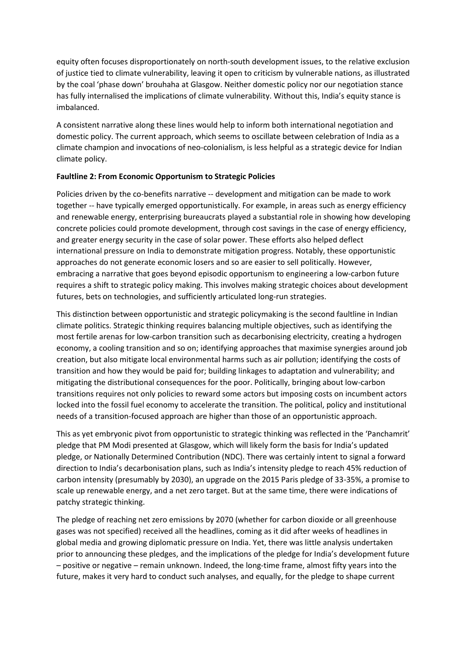equity often focuses disproportionately on north-south development issues, to the relative exclusion of justice tied to climate vulnerability, leaving it open to criticism by vulnerable nations, as illustrated by the coal 'phase down' brouhaha at Glasgow. Neither domestic policy nor our negotiation stance has fully internalised the implications of climate vulnerability. Without this, India's equity stance is imbalanced.

A consistent narrative along these lines would help to inform both international negotiation and domestic policy. The current approach, which seems to oscillate between celebration of India as a climate champion and invocations of neo-colonialism, is less helpful as a strategic device for Indian climate policy.

# **Faultline 2: From Economic Opportunism to Strategic Policies**

Policies driven by the co-benefits narrative -- development and mitigation can be made to work together -- have typically emerged opportunistically. For example, in areas such as energy efficiency and renewable energy, enterprising bureaucrats played a substantial role in showing how developing concrete policies could promote development, through cost savings in the case of energy efficiency, and greater energy security in the case of solar power. These efforts also helped deflect international pressure on India to demonstrate mitigation progress. Notably, these opportunistic approaches do not generate economic losers and so are easier to sell politically. However, embracing a narrative that goes beyond episodic opportunism to engineering a low-carbon future requires a shift to strategic policy making. This involves making strategic choices about development futures, bets on technologies, and sufficiently articulated long-run strategies.

This distinction between opportunistic and strategic policymaking is the second faultline in Indian climate politics. Strategic thinking requires balancing multiple objectives, such as identifying the most fertile arenas for low-carbon transition such as decarbonising electricity, creating a hydrogen economy, a cooling transition and so on; identifying approaches that maximise synergies around job creation, but also mitigate local environmental harms such as air pollution; identifying the costs of transition and how they would be paid for; building linkages to adaptation and vulnerability; and mitigating the distributional consequences for the poor. Politically, bringing about low-carbon transitions requires not only policies to reward some actors but imposing costs on incumbent actors locked into the fossil fuel economy to accelerate the transition. The political, policy and institutional needs of a transition-focused approach are higher than those of an opportunistic approach.

This as yet embryonic pivot from opportunistic to strategic thinking was reflected in the 'Panchamrit' pledge that PM Modi presented at Glasgow, which will likely form the basis for India's updated pledge, or Nationally Determined Contribution (NDC). There was certainly intent to signal a forward direction to India's decarbonisation plans, such as India's intensity pledge to reach 45% reduction of carbon intensity (presumably by 2030), an upgrade on the 2015 Paris pledge of 33-35%, a promise to scale up renewable energy, and a net zero target. But at the same time, there were indications of patchy strategic thinking.

The pledge of reaching net zero emissions by 2070 (whether for carbon dioxide or all greenhouse gases was not specified) received all the headlines, coming as it did after weeks of headlines in global media and growing diplomatic pressure on India. Yet, there was little analysis undertaken prior to announcing these pledges, and the implications of the pledge for India's development future – positive or negative – remain unknown. Indeed, the long-time frame, almost fifty years into the future, makes it very hard to conduct such analyses, and equally, for the pledge to shape current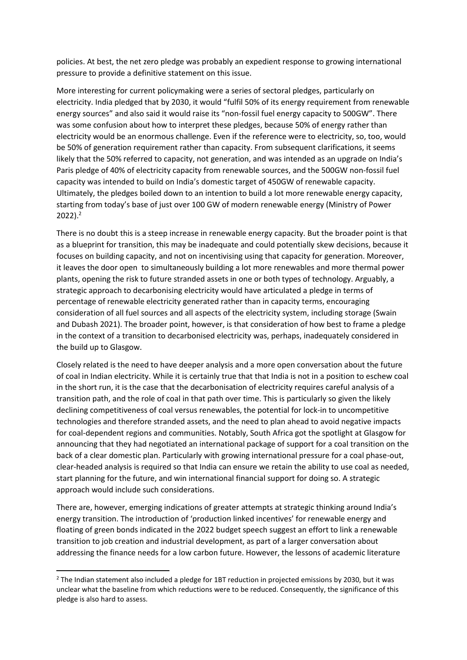policies. At best, the net zero pledge was probably an expedient response to growing international pressure to provide a definitive statement on this issue.

More interesting for current policymaking were a series of sectoral pledges, particularly on electricity. India pledged that by 2030, it would "fulfil 50% of its energy requirement from renewable energy sources" and also said it would raise its "non-fossil fuel energy capacity to 500GW". There was some confusion about how to interpret these pledges, because 50% of energy rather than electricity would be an enormous challenge. Even if the reference were to electricity, so, too, would be 50% of generation requirement rather than capacity. From subsequent clarifications, it seems likely that the 50% referred to capacity, not generation, and was intended as an upgrade on India's Paris pledge of 40% of electricity capacity from renewable sources, and the 500GW non-fossil fuel capacity was intended to build on India's domestic target of 450GW of renewable capacity. Ultimately, the pledges boiled down to an intention to build a lot more renewable energy capacity, starting from today's base of just over 100 GW of modern renewable energy (Ministry of Power  $2022$ ).<sup>2</sup>

There is no doubt this is a steep increase in renewable energy capacity. But the broader point is that as a blueprint for transition, this may be inadequate and could potentially skew decisions, because it focuses on building capacity, and not on incentivising using that capacity for generation. Moreover, it leaves the door open to simultaneously building a lot more renewables and more thermal power plants, opening the risk to future stranded assets in one or both types of technology. Arguably, a strategic approach to decarbonising electricity would have articulated a pledge in terms of percentage of renewable electricity generated rather than in capacity terms, encouraging consideration of all fuel sources and all aspects of the electricity system, including storage (Swain and Dubash 2021). The broader point, however, is that consideration of how best to frame a pledge in the context of a transition to decarbonised electricity was, perhaps, inadequately considered in the build up to Glasgow.

Closely related is the need to have deeper analysis and a more open conversation about the future of coal in Indian electricity. While it is certainly true that that India is not in a position to eschew coal in the short run, it is the case that the decarbonisation of electricity requires careful analysis of a transition path, and the role of coal in that path over time. This is particularly so given the likely declining competitiveness of coal versus renewables, the potential for lock-in to uncompetitive technologies and therefore stranded assets, and the need to plan ahead to avoid negative impacts for coal-dependent regions and communities. Notably, South Africa got the spotlight at Glasgow for announcing that they had negotiated an international package of support for a coal transition on the back of a clear domestic plan. Particularly with growing international pressure for a coal phase-out, clear-headed analysis is required so that India can ensure we retain the ability to use coal as needed, start planning for the future, and win international financial support for doing so. A strategic approach would include such considerations.

There are, however, emerging indications of greater attempts at strategic thinking around India's energy transition. The introduction of 'production linked incentives' for renewable energy and floating of green bonds indicated in the 2022 budget speech suggest an effort to link a renewable transition to job creation and industrial development, as part of a larger conversation about addressing the finance needs for a low carbon future. However, the lessons of academic literature

**.** 

<sup>&</sup>lt;sup>2</sup> The Indian statement also included a pledge for 1BT reduction in projected emissions by 2030, but it was unclear what the baseline from which reductions were to be reduced. Consequently, the significance of this pledge is also hard to assess.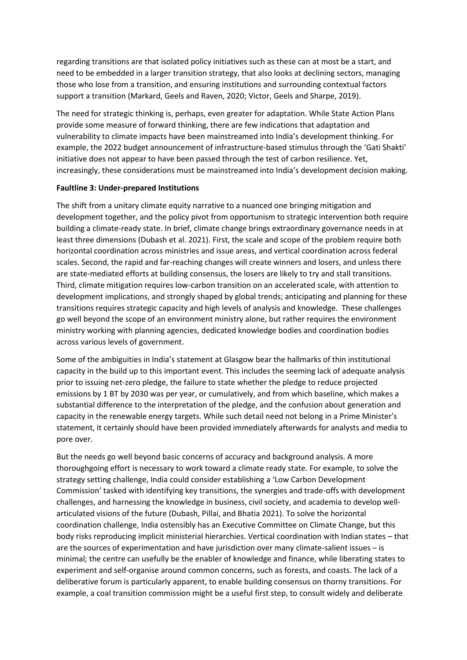regarding transitions are that isolated policy initiatives such as these can at most be a start, and need to be embedded in a larger transition strategy, that also looks at declining sectors, managing those who lose from a transition, and ensuring institutions and surrounding contextual factors support a transition (Markard, Geels and Raven, 2020; Victor, Geels and Sharpe, 2019).

The need for strategic thinking is, perhaps, even greater for adaptation. While State Action Plans provide some measure of forward thinking, there are few indications that adaptation and vulnerability to climate impacts have been mainstreamed into India's development thinking. For example, the 2022 budget announcement of infrastructure-based stimulus through the 'Gati Shakti' initiative does not appear to have been passed through the test of carbon resilience. Yet, increasingly, these considerations must be mainstreamed into India's development decision making.

## **Faultline 3: Under-prepared Institutions**

The shift from a unitary climate equity narrative to a nuanced one bringing mitigation and development together, and the policy pivot from opportunism to strategic intervention both require building a climate-ready state. In brief, climate change brings extraordinary governance needs in at least three dimensions (Dubash et al. 2021). First, the scale and scope of the problem require both horizontal coordination across ministries and issue areas, and vertical coordination across federal scales. Second, the rapid and far-reaching changes will create winners and losers, and unless there are state-mediated efforts at building consensus, the losers are likely to try and stall transitions. Third, climate mitigation requires low-carbon transition on an accelerated scale, with attention to development implications, and strongly shaped by global trends; anticipating and planning for these transitions requires strategic capacity and high levels of analysis and knowledge. These challenges go well beyond the scope of an environment ministry alone, but rather requires the environment ministry working with planning agencies, dedicated knowledge bodies and coordination bodies across various levels of government.

Some of the ambiguities in India's statement at Glasgow bear the hallmarks of thin institutional capacity in the build up to this important event. This includes the seeming lack of adequate analysis prior to issuing net-zero pledge, the failure to state whether the pledge to reduce projected emissions by 1 BT by 2030 was per year, or cumulatively, and from which baseline, which makes a substantial difference to the interpretation of the pledge, and the confusion about generation and capacity in the renewable energy targets. While such detail need not belong in a Prime Minister's statement, it certainly should have been provided immediately afterwards for analysts and media to pore over.

But the needs go well beyond basic concerns of accuracy and background analysis. A more thoroughgoing effort is necessary to work toward a climate ready state. For example, to solve the strategy setting challenge, India could consider establishing a 'Low Carbon Development Commission' tasked with identifying key transitions, the synergies and trade-offs with development challenges, and harnessing the knowledge in business, civil society, and academia to develop wellarticulated visions of the future (Dubash, Pillai, and Bhatia 2021). To solve the horizontal coordination challenge, India ostensibly has an Executive Committee on Climate Change, but this body risks reproducing implicit ministerial hierarchies. Vertical coordination with Indian states – that are the sources of experimentation and have jurisdiction over many climate-salient issues – is minimal; the centre can usefully be the enabler of knowledge and finance, while liberating states to experiment and self-organise around common concerns, such as forests, and coasts. The lack of a deliberative forum is particularly apparent, to enable building consensus on thorny transitions. For example, a coal transition commission might be a useful first step, to consult widely and deliberate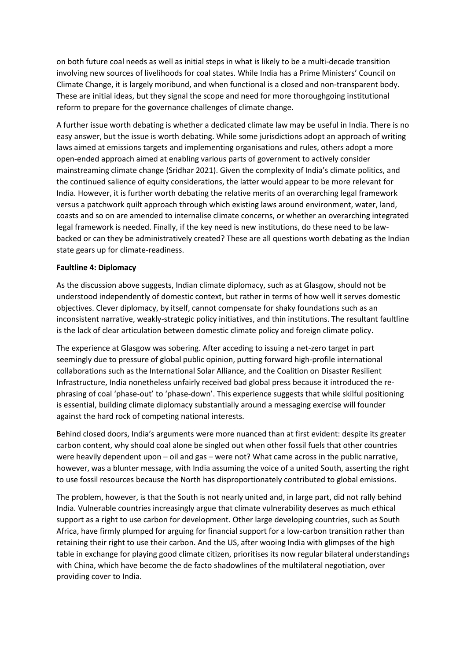on both future coal needs as well as initial steps in what is likely to be a multi-decade transition involving new sources of livelihoods for coal states. While India has a Prime Ministers' Council on Climate Change, it is largely moribund, and when functional is a closed and non-transparent body. These are initial ideas, but they signal the scope and need for more thoroughgoing institutional reform to prepare for the governance challenges of climate change.

A further issue worth debating is whether a dedicated climate law may be useful in India. There is no easy answer, but the issue is worth debating. While some jurisdictions adopt an approach of writing laws aimed at emissions targets and implementing organisations and rules, others adopt a more open-ended approach aimed at enabling various parts of government to actively consider mainstreaming climate change (Sridhar 2021). Given the complexity of India's climate politics, and the continued salience of equity considerations, the latter would appear to be more relevant for India. However, it is further worth debating the relative merits of an overarching legal framework versus a patchwork quilt approach through which existing laws around environment, water, land, coasts and so on are amended to internalise climate concerns, or whether an overarching integrated legal framework is needed. Finally, if the key need is new institutions, do these need to be lawbacked or can they be administratively created? These are all questions worth debating as the Indian state gears up for climate-readiness.

## **Faultline 4: Diplomacy**

As the discussion above suggests, Indian climate diplomacy, such as at Glasgow, should not be understood independently of domestic context, but rather in terms of how well it serves domestic objectives. Clever diplomacy, by itself, cannot compensate for shaky foundations such as an inconsistent narrative, weakly-strategic policy initiatives, and thin institutions. The resultant faultline is the lack of clear articulation between domestic climate policy and foreign climate policy.

The experience at Glasgow was sobering. After acceding to issuing a net-zero target in part seemingly due to pressure of global public opinion, putting forward high-profile international collaborations such as the International Solar Alliance, and the Coalition on Disaster Resilient Infrastructure, India nonetheless unfairly received bad global press because it introduced the rephrasing of coal 'phase-out' to 'phase-down'. This experience suggests that while skilful positioning is essential, building climate diplomacy substantially around a messaging exercise will founder against the hard rock of competing national interests.

Behind closed doors, India's arguments were more nuanced than at first evident: despite its greater carbon content, why should coal alone be singled out when other fossil fuels that other countries were heavily dependent upon – oil and gas – were not? What came across in the public narrative, however, was a blunter message, with India assuming the voice of a united South, asserting the right to use fossil resources because the North has disproportionately contributed to global emissions.

The problem, however, is that the South is not nearly united and, in large part, did not rally behind India. Vulnerable countries increasingly argue that climate vulnerability deserves as much ethical support as a right to use carbon for development. Other large developing countries, such as South Africa, have firmly plumped for arguing for financial support for a low-carbon transition rather than retaining their right to use their carbon. And the US, after wooing India with glimpses of the high table in exchange for playing good climate citizen, prioritises its now regular bilateral understandings with China, which have become the de facto shadowlines of the multilateral negotiation, over providing cover to India.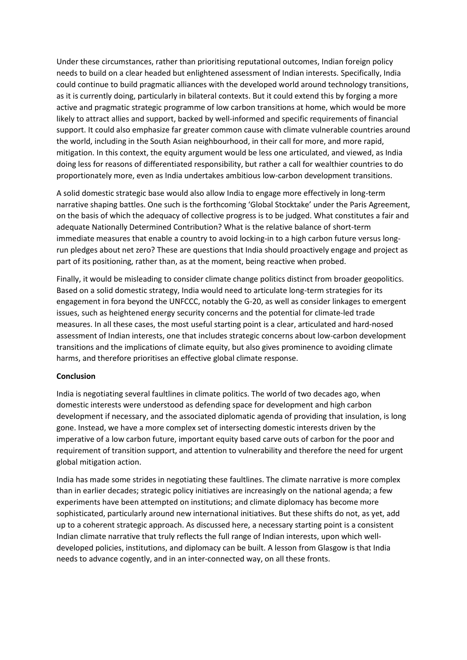Under these circumstances, rather than prioritising reputational outcomes, Indian foreign policy needs to build on a clear headed but enlightened assessment of Indian interests. Specifically, India could continue to build pragmatic alliances with the developed world around technology transitions, as it is currently doing, particularly in bilateral contexts. But it could extend this by forging a more active and pragmatic strategic programme of low carbon transitions at home, which would be more likely to attract allies and support, backed by well-informed and specific requirements of financial support. It could also emphasize far greater common cause with climate vulnerable countries around the world, including in the South Asian neighbourhood, in their call for more, and more rapid, mitigation. In this context, the equity argument would be less one articulated, and viewed, as India doing less for reasons of differentiated responsibility, but rather a call for wealthier countries to do proportionately more, even as India undertakes ambitious low-carbon development transitions.

A solid domestic strategic base would also allow India to engage more effectively in long-term narrative shaping battles. One such is the forthcoming 'Global Stocktake' under the Paris Agreement, on the basis of which the adequacy of collective progress is to be judged. What constitutes a fair and adequate Nationally Determined Contribution? What is the relative balance of short-term immediate measures that enable a country to avoid locking-in to a high carbon future versus longrun pledges about net zero? These are questions that India should proactively engage and project as part of its positioning, rather than, as at the moment, being reactive when probed.

Finally, it would be misleading to consider climate change politics distinct from broader geopolitics. Based on a solid domestic strategy, India would need to articulate long-term strategies for its engagement in fora beyond the UNFCCC, notably the G-20, as well as consider linkages to emergent issues, such as heightened energy security concerns and the potential for climate-led trade measures. In all these cases, the most useful starting point is a clear, articulated and hard-nosed assessment of Indian interests, one that includes strategic concerns about low-carbon development transitions and the implications of climate equity, but also gives prominence to avoiding climate harms, and therefore prioritises an effective global climate response.

## **Conclusion**

India is negotiating several faultlines in climate politics. The world of two decades ago, when domestic interests were understood as defending space for development and high carbon development if necessary, and the associated diplomatic agenda of providing that insulation, is long gone. Instead, we have a more complex set of intersecting domestic interests driven by the imperative of a low carbon future, important equity based carve outs of carbon for the poor and requirement of transition support, and attention to vulnerability and therefore the need for urgent global mitigation action.

India has made some strides in negotiating these faultlines. The climate narrative is more complex than in earlier decades; strategic policy initiatives are increasingly on the national agenda; a few experiments have been attempted on institutions; and climate diplomacy has become more sophisticated, particularly around new international initiatives. But these shifts do not, as yet, add up to a coherent strategic approach. As discussed here, a necessary starting point is a consistent Indian climate narrative that truly reflects the full range of Indian interests, upon which welldeveloped policies, institutions, and diplomacy can be built. A lesson from Glasgow is that India needs to advance cogently, and in an inter-connected way, on all these fronts.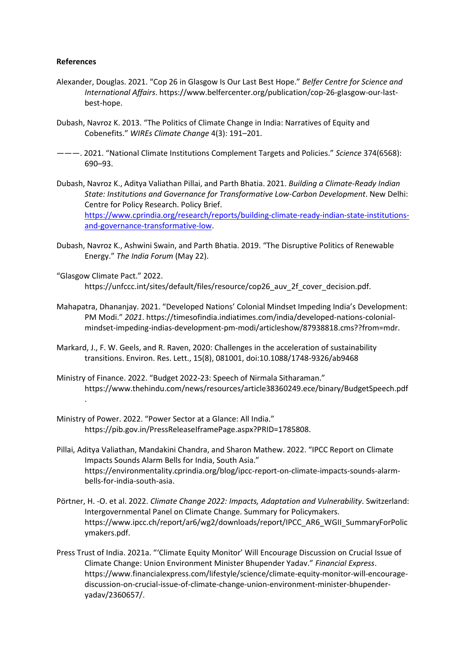#### **References**

- Alexander, Douglas. 2021. "Cop 26 in Glasgow Is Our Last Best Hope." *Belfer Centre for Science and International Affairs*. https://www.belfercenter.org/publication/cop-26-glasgow-our-lastbest-hope.
- Dubash, Navroz K. 2013. "The Politics of Climate Change in India: Narratives of Equity and Cobenefits." *WIREs Climate Change* 4(3): 191–201.
- ———. 2021. "National Climate Institutions Complement Targets and Policies." *Science* 374(6568): 690–93.
- Dubash, Navroz K., Aditya Valiathan Pillai, and Parth Bhatia. 2021. *Building a Climate-Ready Indian State: Institutions and Governance for Transformative Low-Carbon Development*. New Delhi: Centre for Policy Research. Policy Brief. [https://www.cprindia.org/research/reports/building-climate-ready-indian-state-institutions](https://www.cprindia.org/research/reports/building-climate-ready-indian-state-institutions-and-governance-transformative-low)[and-governance-transformative-low.](https://www.cprindia.org/research/reports/building-climate-ready-indian-state-institutions-and-governance-transformative-low)
- Dubash, Navroz K., Ashwini Swain, and Parth Bhatia. 2019. "The Disruptive Politics of Renewable Energy." *The India Forum* (May 22).
- "Glasgow Climate Pact." 2022. https://unfccc.int/sites/default/files/resource/cop26\_auv\_2f\_cover\_decision.pdf.
- Mahapatra, Dhananjay. 2021. "Developed Nations' Colonial Mindset Impeding India's Development: PM Modi." *2021*. https://timesofindia.indiatimes.com/india/developed-nations-colonialmindset-impeding-indias-development-pm-modi/articleshow/87938818.cms??from=mdr.
- Markard, J., F. W. Geels, and R. Raven, 2020: Challenges in the acceleration of sustainability transitions. Environ. Res. Lett., 15(8), 081001, doi:10.1088/1748-9326/ab9468
- Ministry of Finance. 2022. "Budget 2022-23: Speech of Nirmala Sitharaman." https://www.thehindu.com/news/resources/article38360249.ece/binary/BudgetSpeech.pdf .
- Ministry of Power. 2022. "Power Sector at a Glance: All India." https://pib.gov.in/PressReleaseIframePage.aspx?PRID=1785808.
- Pillai, Aditya Valiathan, Mandakini Chandra, and Sharon Mathew. 2022. "IPCC Report on Climate Impacts Sounds Alarm Bells for India, South Asia." https://environmentality.cprindia.org/blog/ipcc-report-on-climate-impacts-sounds-alarmbells-for-india-south-asia.
- Pörtner, H. -O. et al. 2022. *Climate Change 2022: Impacts, Adaptation and Vulnerability*. Switzerland: Intergovernmental Panel on Climate Change. Summary for Policymakers. https://www.ipcc.ch/report/ar6/wg2/downloads/report/IPCC\_AR6\_WGII\_SummaryForPolic ymakers.pdf.
- Press Trust of India. 2021a. "'Climate Equity Monitor' Will Encourage Discussion on Crucial Issue of Climate Change: Union Environment Minister Bhupender Yadav." *Financial Express*. https://www.financialexpress.com/lifestyle/science/climate-equity-monitor-will-encouragediscussion-on-crucial-issue-of-climate-change-union-environment-minister-bhupenderyadav/2360657/.